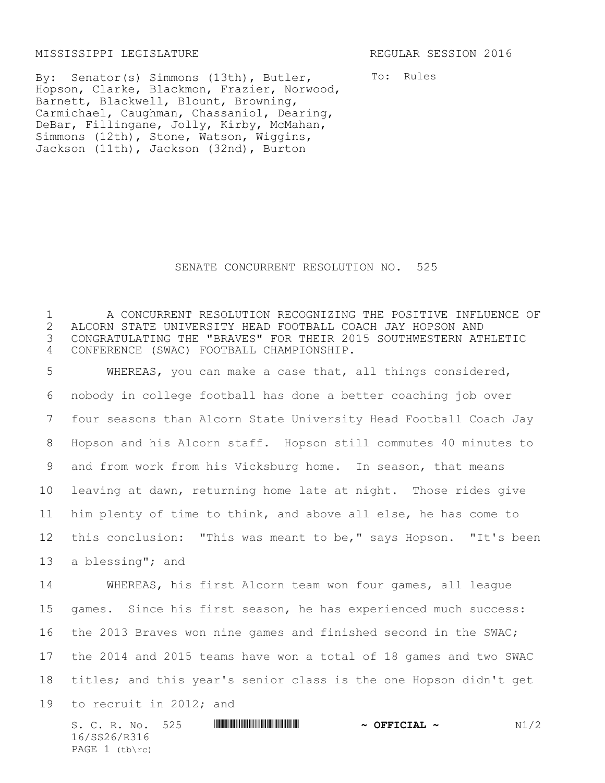MISSISSIPPI LEGISLATURE REGULAR SESSION 2016

By: Senator(s) Simmons (13th), Butler, Hopson, Clarke, Blackmon, Frazier, Norwood, Barnett, Blackwell, Blount, Browning, Carmichael, Caughman, Chassaniol, Dearing, DeBar, Fillingane, Jolly, Kirby, McMahan, Simmons (12th), Stone, Watson, Wiggins, Jackson (11th), Jackson (32nd), Burton

To: Rules

## SENATE CONCURRENT RESOLUTION NO. 525

 A CONCURRENT RESOLUTION RECOGNIZING THE POSITIVE INFLUENCE OF 2 ALCORN STATE UNIVERSITY HEAD FOOTBALL COACH JAY HOPSON AND<br>3 CONGRATULATING THE "BRAVES" FOR THEIR 2015 SOUTHWESTERN ATI CONGRATULATING THE "BRAVES" FOR THEIR 2015 SOUTHWESTERN ATHLETIC CONFERENCE (SWAC) FOOTBALL CHAMPIONSHIP.

 WHEREAS, you can make a case that, all things considered, nobody in college football has done a better coaching job over four seasons than Alcorn State University Head Football Coach Jay Hopson and his Alcorn staff. Hopson still commutes 40 minutes to and from work from his Vicksburg home. In season, that means leaving at dawn, returning home late at night. Those rides give him plenty of time to think, and above all else, he has come to this conclusion: "This was meant to be," says Hopson. "It's been a blessing"; and

 WHEREAS, his first Alcorn team won four games, all league games. Since his first season, he has experienced much success: the 2013 Braves won nine games and finished second in the SWAC; the 2014 and 2015 teams have won a total of 18 games and two SWAC titles; and this year's senior class is the one Hopson didn't get to recruit in 2012; and

S. C. R. No. 525 **ASSEMINIST CONSUMING A SECONDUCT 2 N**1/2 16/SS26/R316 PAGE  $1$  (tb\rc)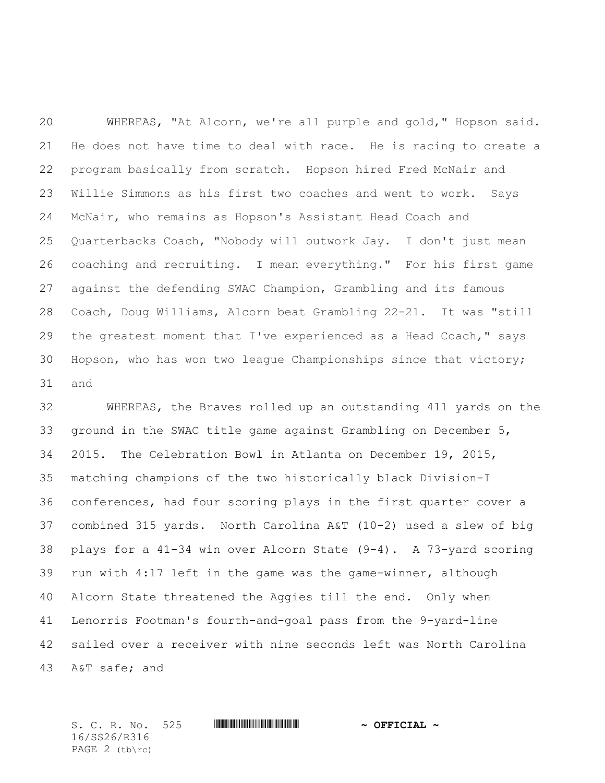WHEREAS, "At Alcorn, we're all purple and gold," Hopson said. He does not have time to deal with race. He is racing to create a program basically from scratch. Hopson hired Fred McNair and Willie Simmons as his first two coaches and went to work. Says McNair, who remains as Hopson's Assistant Head Coach and Quarterbacks Coach, "Nobody will outwork Jay. I don't just mean coaching and recruiting. I mean everything." For his first game against the defending SWAC Champion, Grambling and its famous Coach, Doug Williams, Alcorn beat Grambling 22-21. It was "still 29 the greatest moment that I've experienced as a Head Coach," says Hopson, who has won two league Championships since that victory; and

 WHEREAS, the Braves rolled up an outstanding 411 yards on the ground in the SWAC title game against Grambling on December 5, 2015. The Celebration Bowl in Atlanta on December 19, 2015, matching champions of the two historically black Division-I conferences, had four scoring plays in the first quarter cover a combined 315 yards. North Carolina A&T (10-2) used a slew of big plays for a 41-34 win over Alcorn State (9-4). A 73-yard scoring run with 4:17 left in the game was the game-winner, although Alcorn State threatened the Aggies till the end. Only when Lenorris Footman's fourth-and-goal pass from the 9-yard-line sailed over a receiver with nine seconds left was North Carolina A&T safe; and

S. C. R. No. 525 \*SS26/R316\* **~ OFFICIAL ~** 16/SS26/R316 PAGE 2 (tb\rc)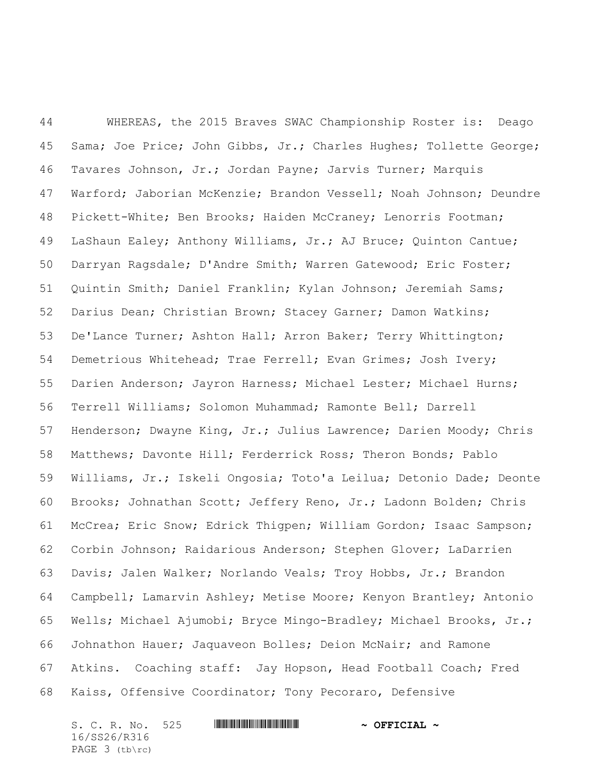WHEREAS, the 2015 Braves SWAC Championship Roster is: Deago Sama; Joe Price; John Gibbs, Jr.; Charles Hughes; Tollette George; Tavares Johnson, Jr.; Jordan Payne; Jarvis Turner; Marquis Warford; Jaborian McKenzie; Brandon Vessell; Noah Johnson; Deundre Pickett-White; Ben Brooks; Haiden McCraney; Lenorris Footman; LaShaun Ealey; Anthony Williams, Jr.; AJ Bruce; Quinton Cantue; Darryan Ragsdale; D'Andre Smith; Warren Gatewood; Eric Foster; Quintin Smith; Daniel Franklin; Kylan Johnson; Jeremiah Sams; Darius Dean; Christian Brown; Stacey Garner; Damon Watkins; De'Lance Turner; Ashton Hall; Arron Baker; Terry Whittington; Demetrious Whitehead; Trae Ferrell; Evan Grimes; Josh Ivery; Darien Anderson; Jayron Harness; Michael Lester; Michael Hurns; Terrell Williams; Solomon Muhammad; Ramonte Bell; Darrell Henderson; Dwayne King, Jr.; Julius Lawrence; Darien Moody; Chris Matthews; Davonte Hill; Ferderrick Ross; Theron Bonds; Pablo Williams, Jr.; Iskeli Ongosia; Toto'a Leilua; Detonio Dade; Deonte Brooks; Johnathan Scott; Jeffery Reno, Jr.; Ladonn Bolden; Chris McCrea; Eric Snow; Edrick Thigpen; William Gordon; Isaac Sampson; Corbin Johnson; Raidarious Anderson; Stephen Glover; LaDarrien Davis; Jalen Walker; Norlando Veals; Troy Hobbs, Jr.; Brandon Campbell; Lamarvin Ashley; Metise Moore; Kenyon Brantley; Antonio Wells; Michael Ajumobi; Bryce Mingo-Bradley; Michael Brooks, Jr.; Johnathon Hauer; Jaquaveon Bolles; Deion McNair; and Ramone Atkins. Coaching staff: Jay Hopson, Head Football Coach; Fred Kaiss, Offensive Coordinator; Tony Pecoraro, Defensive

S. C. R. No. 525 **WILL AND A SEPT CIAL ~** 16/SS26/R316 PAGE 3 (tb\rc)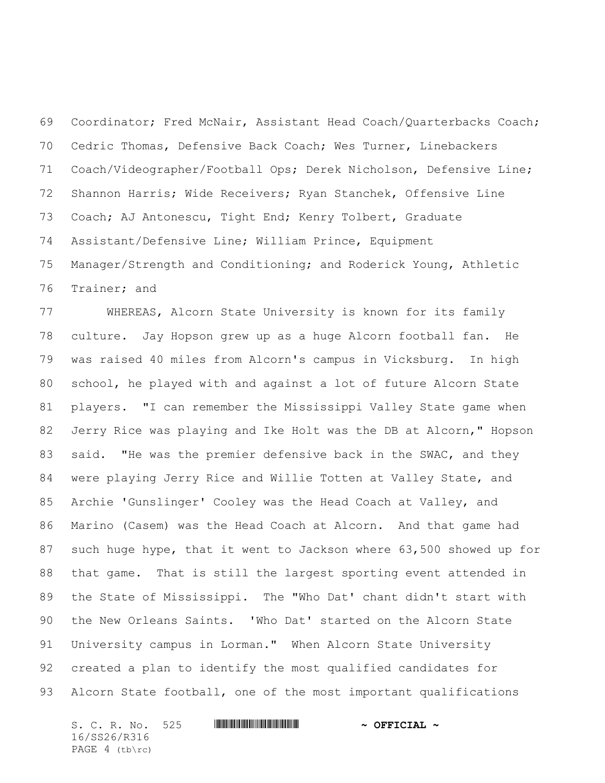Coordinator; Fred McNair, Assistant Head Coach/Quarterbacks Coach; Cedric Thomas, Defensive Back Coach; Wes Turner, Linebackers Coach/Videographer/Football Ops; Derek Nicholson, Defensive Line; Shannon Harris; Wide Receivers; Ryan Stanchek, Offensive Line Coach; AJ Antonescu, Tight End; Kenry Tolbert, Graduate Assistant/Defensive Line; William Prince, Equipment Manager/Strength and Conditioning; and Roderick Young, Athletic Trainer; and

 WHEREAS, Alcorn State University is known for its family culture. Jay Hopson grew up as a huge Alcorn football fan. He was raised 40 miles from Alcorn's campus in Vicksburg. In high school, he played with and against a lot of future Alcorn State players. "I can remember the Mississippi Valley State game when Jerry Rice was playing and Ike Holt was the DB at Alcorn," Hopson 83 said. "He was the premier defensive back in the SWAC, and they were playing Jerry Rice and Willie Totten at Valley State, and Archie 'Gunslinger' Cooley was the Head Coach at Valley, and Marino (Casem) was the Head Coach at Alcorn. And that game had such huge hype, that it went to Jackson where 63,500 showed up for that game. That is still the largest sporting event attended in the State of Mississippi. The "Who Dat' chant didn't start with the New Orleans Saints. 'Who Dat' started on the Alcorn State University campus in Lorman." When Alcorn State University created a plan to identify the most qualified candidates for Alcorn State football, one of the most important qualifications

S. C. R. No. 525 **WILL AND ALLEST AND A OFFICIAL ~** 16/SS26/R316 PAGE 4 (tb\rc)